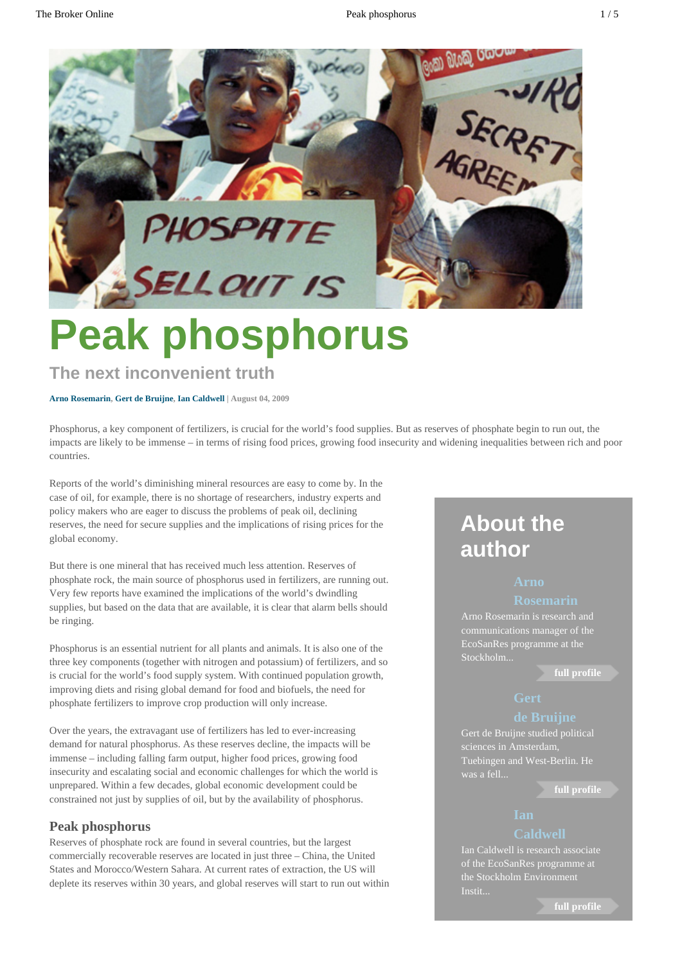

# **Peak phosphorus**

### **The next inconvenient truth**

#### **[Arno Rosemarin,](http://www.thebrokeronline.eu/Authors/Rosemarin-Arno) [Gert de Bruijne](http://www.thebrokeronline.eu/Authors/de-Bruijne-Gert), [Ian Caldwell](http://www.thebrokeronline.eu/Authors/Caldwell-Ian) | August 04, 2009**

Phosphorus, a key component of fertilizers, is crucial for the world's food supplies. But as reserves of phosphate begin to run out, the impacts are likely to be immense – in terms of rising food prices, growing food insecurity and widening inequalities between rich and poor countries.

Reports of the world's diminishing mineral resources are easy to come by. In the case of oil, for example, there is no shortage of researchers, industry experts and policy makers who are eager to discuss the problems of peak oil, declining reserves, the need for secure supplies and the implications of rising prices for the global economy.

But there is one mineral that has received much less attention. Reserves of phosphate rock, the main source of phosphorus used in fertilizers, are running out. Very few reports have examined the implications of the world's dwindling supplies, but based on the data that are available, it is clear that alarm bells should be ringing.

Phosphorus is an essential nutrient for all plants and animals. It is also one of the three key components (together with nitrogen and potassium) of fertilizers, and so is crucial for the world's food supply system. With continued population growth, improving diets and rising global demand for food and biofuels, the need for phosphate fertilizers to improve crop production will only increase.

Over the years, the extravagant use of fertilizers has led to ever-increasing demand for natural phosphorus. As these reserves decline, the impacts will be immense – including falling farm output, higher food prices, growing food insecurity and escalating social and economic challenges for which the world is unprepared. Within a few decades, global economic development could be constrained not just by supplies of oil, but by the availability of phosphorus.

### **Peak phosphorus**

Reserves of phosphate rock are found in several countries, but the largest commercially recoverable reserves are located in just three – China, the United States and Morocco/Western Sahara. At current rates of extraction, the US will deplete its reserves within 30 years, and global reserves will start to run out within

## **About the author**

### **[Arno](http://www.thebrokeronline.eu/Authors/Rosemarin-Arno)**

#### **[Rosemarin](http://www.thebrokeronline.eu/Authors/Rosemarin-Arno)**

Arno Rosemarin is research and communications manager of the EcoSanRes programme at the Stockholm...

**[full profile](http://www.thebrokeronline.eu/Authors/Rosemarin-Arno)**

Gert de Bruijne studied political sciences in Amsterdam, Tuebingen and West-Berlin. He was a fell...

**[full profile](http://www.thebrokeronline.eu/Authors/de-Bruijne-Gert)**

### **[Caldwell](http://www.thebrokeronline.eu/Authors/Caldwell-Ian)**

of the EcoSanRes programme at the Stockholm Environment

**[full profile](http://www.thebrokeronline.eu/Authors/Caldwell-Ian)**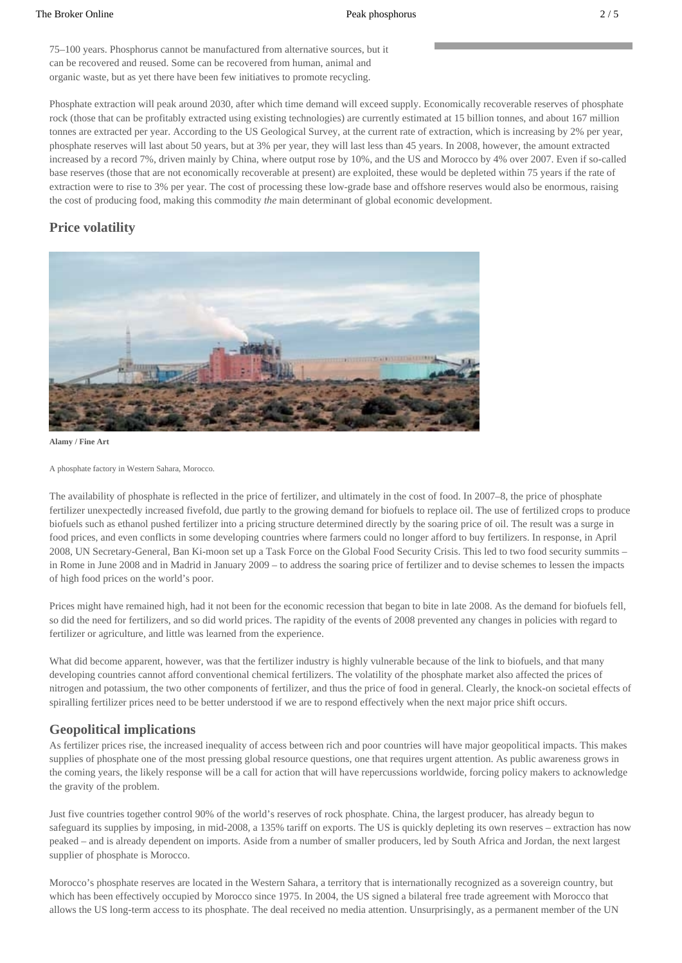75–100 years. Phosphorus cannot be manufactured from alternative sources, but it can be recovered and reused. Some can be recovered from human, animal and organic waste, but as yet there have been few initiatives to promote recycling.

Phosphate extraction will peak around 2030, after which time demand will exceed supply. Economically recoverable reserves of phosphate rock (those that can be profitably extracted using existing technologies) are currently estimated at 15 billion tonnes, and about 167 million tonnes are extracted per year. According to the US Geological Survey, at the current rate of extraction, which is increasing by 2% per year, phosphate reserves will last about 50 years, but at 3% per year, they will last less than 45 years. In 2008, however, the amount extracted increased by a record 7%, driven mainly by China, where output rose by 10%, and the US and Morocco by 4% over 2007. Even if so-called base reserves (those that are not economically recoverable at present) are exploited, these would be depleted within 75 years if the rate of extraction were to rise to 3% per year. The cost of processing these low-grade base and offshore reserves would also be enormous, raising the cost of producing food, making this commodity *the* main determinant of global economic development.

### **Price volatility**



**Alamy / Fine Art**

The availability of phosphate is reflected in the price of fertilizer, and ultimately in the cost of food. In 2007–8, the price of phosphate fertilizer unexpectedly increased fivefold, due partly to the growing demand for biofuels to replace oil. The use of fertilized crops to produce biofuels such as ethanol pushed fertilizer into a pricing structure determined directly by the soaring price of oil. The result was a surge in food prices, and even conflicts in some developing countries where farmers could no longer afford to buy fertilizers. In response, in April 2008, UN Secretary-General, Ban Ki-moon set up a Task Force on the Global Food Security Crisis. This led to two food security summits – in Rome in June 2008 and in Madrid in January 2009 – to address the soaring price of fertilizer and to devise schemes to lessen the impacts of high food prices on the world's poor.

Prices might have remained high, had it not been for the economic recession that began to bite in late 2008. As the demand for biofuels fell, so did the need for fertilizers, and so did world prices. The rapidity of the events of 2008 prevented any changes in policies with regard to fertilizer or agriculture, and little was learned from the experience.

What did become apparent, however, was that the fertilizer industry is highly vulnerable because of the link to biofuels, and that many developing countries cannot afford conventional chemical fertilizers. The volatility of the phosphate market also affected the prices of nitrogen and potassium, the two other components of fertilizer, and thus the price of food in general. Clearly, the knock-on societal effects of spiralling fertilizer prices need to be better understood if we are to respond effectively when the next major price shift occurs.

#### **Geopolitical implications**

As fertilizer prices rise, the increased inequality of access between rich and poor countries will have major geopolitical impacts. This makes supplies of phosphate one of the most pressing global resource questions, one that requires urgent attention. As public awareness grows in the coming years, the likely response will be a call for action that will have repercussions worldwide, forcing policy makers to acknowledge the gravity of the problem.

Just five countries together control 90% of the world's reserves of rock phosphate. China, the largest producer, has already begun to safeguard its supplies by imposing, in mid-2008, a 135% tariff on exports. The US is quickly depleting its own reserves – extraction has now peaked – and is already dependent on imports. Aside from a number of smaller producers, led by South Africa and Jordan, the next largest supplier of phosphate is Morocco.

Morocco's phosphate reserves are located in the Western Sahara, a territory that is internationally recognized as a sovereign country, but which has been effectively occupied by Morocco since 1975. In 2004, the US signed a bilateral free trade agreement with Morocco that allows the US long-term access to its phosphate. The deal received no media attention. Unsurprisingly, as a permanent member of the UN

A phosphate factory in Western Sahara, Morocco.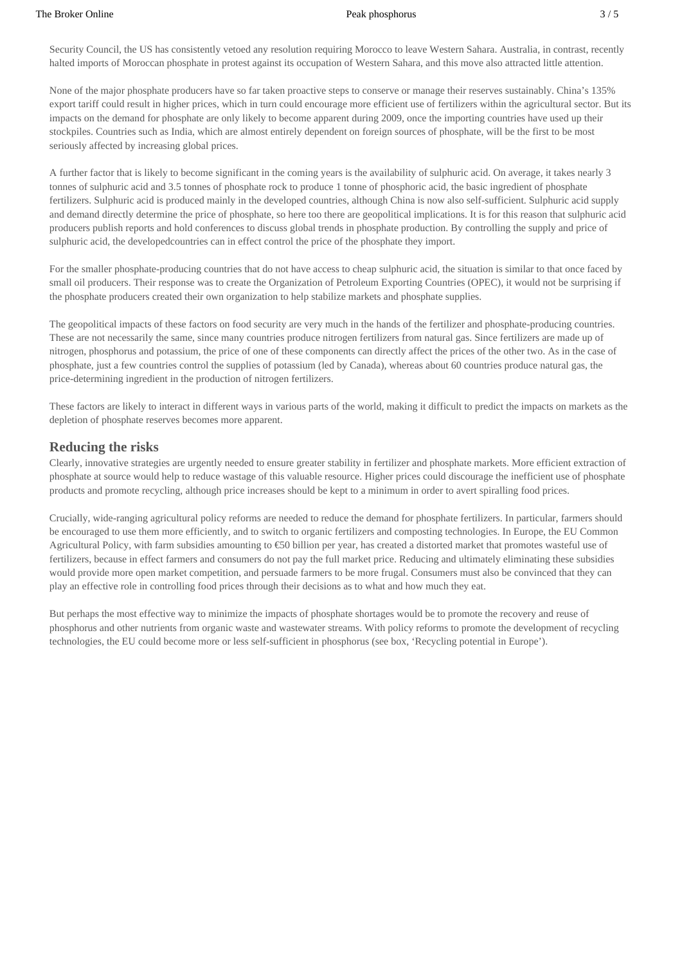Security Council, the US has consistently vetoed any resolution requiring Morocco to leave Western Sahara. Australia, in contrast, recently halted imports of Moroccan phosphate in protest against its occupation of Western Sahara, and this move also attracted little attention.

None of the major phosphate producers have so far taken proactive steps to conserve or manage their reserves sustainably. China's 135% export tariff could result in higher prices, which in turn could encourage more efficient use of fertilizers within the agricultural sector. But its impacts on the demand for phosphate are only likely to become apparent during 2009, once the importing countries have used up their stockpiles. Countries such as India, which are almost entirely dependent on foreign sources of phosphate, will be the first to be most seriously affected by increasing global prices.

A further factor that is likely to become significant in the coming years is the availability of sulphuric acid. On average, it takes nearly 3 tonnes of sulphuric acid and 3.5 tonnes of phosphate rock to produce 1 tonne of phosphoric acid, the basic ingredient of phosphate fertilizers. Sulphuric acid is produced mainly in the developed countries, although China is now also self-sufficient. Sulphuric acid supply and demand directly determine the price of phosphate, so here too there are geopolitical implications. It is for this reason that sulphuric acid producers publish reports and hold conferences to discuss global trends in phosphate production. By controlling the supply and price of sulphuric acid, the developedcountries can in effect control the price of the phosphate they import.

For the smaller phosphate-producing countries that do not have access to cheap sulphuric acid, the situation is similar to that once faced by small oil producers. Their response was to create the Organization of Petroleum Exporting Countries (OPEC), it would not be surprising if the phosphate producers created their own organization to help stabilize markets and phosphate supplies.

The geopolitical impacts of these factors on food security are very much in the hands of the fertilizer and phosphate-producing countries. These are not necessarily the same, since many countries produce nitrogen fertilizers from natural gas. Since fertilizers are made up of nitrogen, phosphorus and potassium, the price of one of these components can directly affect the prices of the other two. As in the case of phosphate, just a few countries control the supplies of potassium (led by Canada), whereas about 60 countries produce natural gas, the price-determining ingredient in the production of nitrogen fertilizers.

These factors are likely to interact in different ways in various parts of the world, making it difficult to predict the impacts on markets as the depletion of phosphate reserves becomes more apparent.

#### **Reducing the risks**

Clearly, innovative strategies are urgently needed to ensure greater stability in fertilizer and phosphate markets. More efficient extraction of phosphate at source would help to reduce wastage of this valuable resource. Higher prices could discourage the inefficient use of phosphate products and promote recycling, although price increases should be kept to a minimum in order to avert spiralling food prices.

Crucially, wide-ranging agricultural policy reforms are needed to reduce the demand for phosphate fertilizers. In particular, farmers should be encouraged to use them more efficiently, and to switch to organic fertilizers and composting technologies. In Europe, the EU Common Agricultural Policy, with farm subsidies amounting to €50 billion per year, has created a distorted market that promotes wasteful use of fertilizers, because in effect farmers and consumers do not pay the full market price. Reducing and ultimately eliminating these subsidies would provide more open market competition, and persuade farmers to be more frugal. Consumers must also be convinced that they can play an effective role in controlling food prices through their decisions as to what and how much they eat.

But perhaps the most effective way to minimize the impacts of phosphate shortages would be to promote the recovery and reuse of phosphorus and other nutrients from organic waste and wastewater streams. With policy reforms to promote the development of recycling technologies, the EU could become more or less self-sufficient in phosphorus (see box, 'Recycling potential in Europe').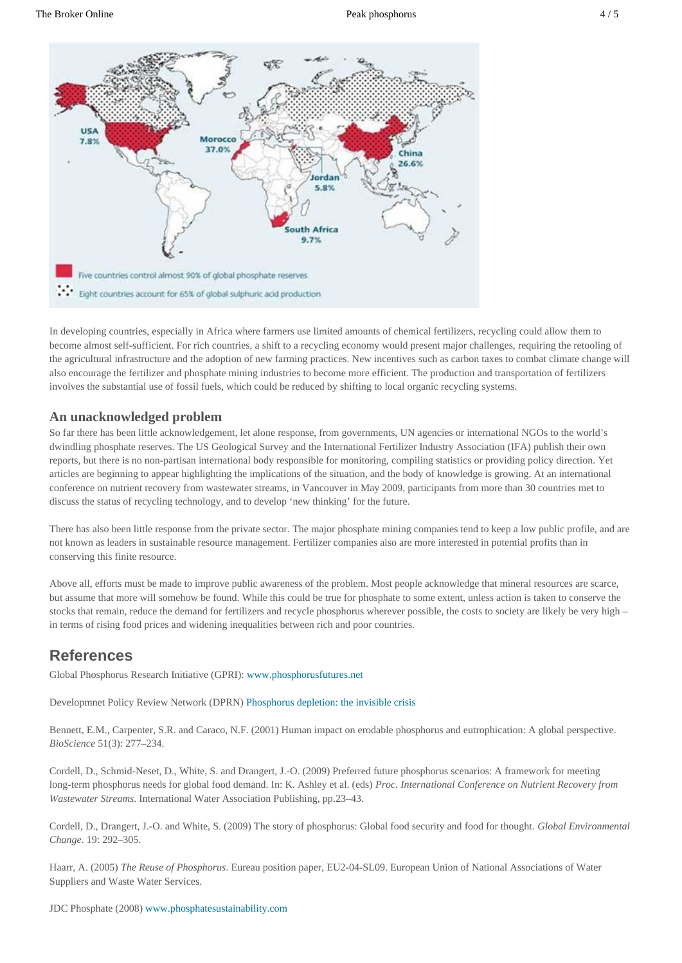

In developing countries, especially in Africa where farmers use limited amounts of chemical fertilizers, recycling could allow them to become almost self-sufficient. For rich countries, a shift to a recycling economy would present major challenges, requiring the retooling of the agricultural infrastructure and the adoption of new farming practices. New incentives such as carbon taxes to combat climate change will also encourage the fertilizer and phosphate mining industries to become more efficient. The production and transportation of fertilizers involves the substantial use of fossil fuels, which could be reduced by shifting to local organic recycling systems.

#### **An unacknowledged problem**

So far there has been little acknowledgement, let alone response, from governments, UN agencies or international NGOs to the world's dwindling phosphate reserves. The US Geological Survey and the International Fertilizer Industry Association (IFA) publish their own reports, but there is no non-partisan international body responsible for monitoring, compiling statistics or providing policy direction. Yet articles are beginning to appear highlighting the implications of the situation, and the body of knowledge is growing. At an international conference on nutrient recovery from wastewater streams, in Vancouver in May 2009, participants from more than 30 countries met to discuss the status of recycling technology, and to develop 'new thinking' for the future.

There has also been little response from the private sector. The major phosphate mining companies tend to keep a low public profile, and are not known as leaders in sustainable resource management. Fertilizer companies also are more interested in potential profits than in conserving this finite resource.

Above all, efforts must be made to improve public awareness of the problem. Most people acknowledge that mineral resources are scarce, but assume that more will somehow be found. While this could be true for phosphate to some extent, unless action is taken to conserve the stocks that remain, reduce the demand for fertilizers and recycle phosphorus wherever possible, the costs to society are likely be very high – in terms of rising food prices and widening inequalities between rich and poor countries.

### **References**

Global Phosphorus Research Initiative (GPRI): [www.phosphorusfutures.net](http://www.phosphorusfutures.net)

Developmnet Policy Review Network (DPRN) [Phosphorus depletion: the invisible crisis](http://phosphorus.global-connections.nl/)

Bennett, E.M., Carpenter, S.R. and Caraco, N.F. (2001) Human impact on erodable phosphorus and eutrophication: A global perspective. *BioScience* 51(3): 277–234.

Cordell, D., Schmid-Neset, D., White, S. and Drangert, J.-O. (2009) Preferred future phosphorus scenarios: A framework for meeting long-term phosphorus needs for global food demand. In: K. Ashley et al. (eds) *Proc. International Conference on Nutrient Recovery from Wastewater Streams*. International Water Association Publishing, pp.23–43.

Cordell, D., Drangert, J.-O. and White, S. (2009) The story of phosphorus: Global food security and food for thought. *Global Environmental Change*. 19: 292–305.

Haarr, A. (2005) *The Reuse of Phosphorus*. Eureau position paper, EU2-04-SL09. European Union of National Associations of Water Suppliers and Waste Water Services.